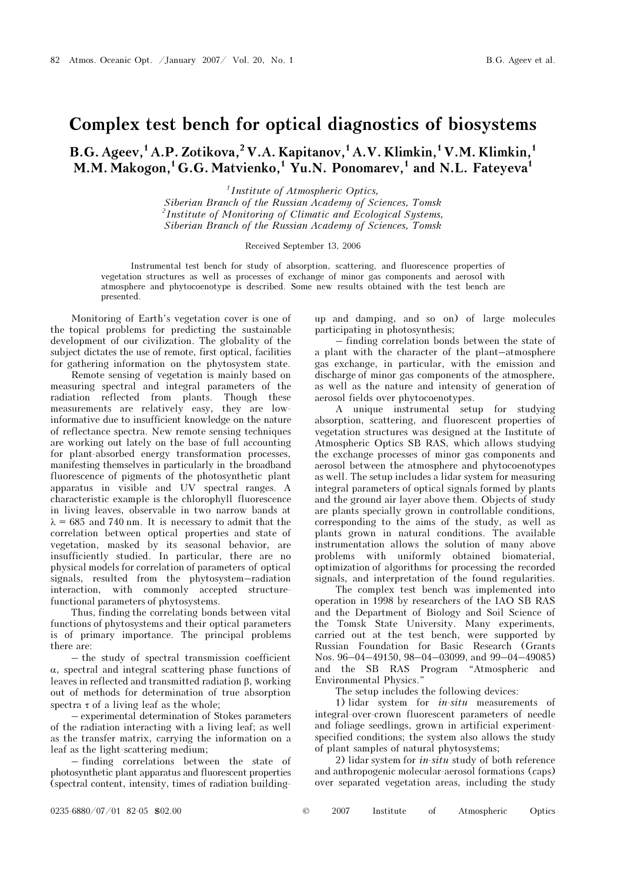## Complex test bench for optical diagnostics of biosystems

 $B.G. Ageev<sup>1</sup>, A.P. Zotikova<sup>2</sup>, V.A. Kapitanov<sup>1</sup>, A.V. Klimkin<sup>1</sup>, V.M. Klimkin<sup>1</sup>$ M.M. Makogon,<sup>1</sup> G.G. Matvienko,<sup>1</sup> Yu.N. Ponomarev,<sup>1</sup> and N.L. Fateyeva<sup>1</sup>

> $<sup>1</sup> Institute of Atmospheric Optics,$ </sup> Siberian Branch of the Russian Academy of Sciences, Tomsk  $2$ Institute of Monitoring of Climatic and Ecological Systems, Siberian Branch of the Russian Academy of Sciences, Tomsk

## Received September 13, 2006

Instrumental test bench for study of absorption, scattering, and fluorescence properties of vegetation structures as well as processes of exchange of minor gas components and aerosol with atmosphere and phytocoenotype is described. Some new results obtained with the test bench are presented.

Monitoring of Earth's vegetation cover is one of the topical problems for predicting the sustainable development of our civilization. The globality of the subject dictates the use of remote, first optical, facilities for gathering information on the phytosystem state.

 Remote sensing of vegetation is mainly based on measuring spectral and integral parameters of the radiation reflected from plants. Though these measurements are relatively easy, they are lowinformative due to insufficient knowledge on the nature of reflectance spectra. New remote sensing techniques are working out lately on the base of full accounting for plant-absorbed energy transformation processes, manifesting themselves in particularly in the broadband fluorescence of pigments of the photosynthetic plant apparatus in visible and UV spectral ranges. A characteristic example is the chlorophyll fluorescence in living leaves, observable in two narrow bands at  $\lambda = 685$  and 740 nm. It is necessary to admit that the correlation between optical properties and state of vegetation, masked by its seasonal behavior, are insufficiently studied. In particular, there are no physical models for correlation of parameters of optical signals, resulted from the phytosystem–radiation interaction, with commonly accepted structurefunctional parameters of phytosystems.

Thus, finding the correlating bonds between vital functions of phytosystems and their optical parameters is of primary importance. The principal problems there are:

– the study of spectral transmission coefficient α, spectral and integral scattering phase functions of leaves in reflected and transmitted radiation β, working out of methods for determination of true absorption spectra  $\tau$  of a living leaf as the whole;

– experimental determination of Stokes parameters of the radiation interacting with a living leaf; as well as the transfer matrix, carrying the information on a leaf as the light-scattering medium;

– finding correlations between the state of photosynthetic plant apparatus and fluorescent properties (spectral content, intensity, times of radiation buildingup and damping, and so on) of large molecules participating in photosynthesis;

– finding correlation bonds between the state of a plant with the character of the plant–atmosphere gas exchange, in particular, with the emission and discharge of minor gas components of the atmosphere, as well as the nature and intensity of generation of aerosol fields over phytocoenotypes.

A unique instrumental setup for studying absorption, scattering, and fluorescent properties of vegetation structures was designed at the Institute of Atmospheric Optics SB RAS, which allows studying the exchange processes of minor gas components and aerosol between the atmosphere and phytocoenotypes as well. The setup includes a lidar system for measuring integral parameters of optical signals formed by plants and the ground air layer above them. Objects of study are plants specially grown in controllable conditions, corresponding to the aims of the study, as well as plants grown in natural conditions. The available instrumentation allows the solution of many above problems with uniformly obtained biomaterial, optimization of algorithms for processing the recorded signals, and interpretation of the found regularities.

 The complex test bench was implemented into operation in 1998 by researchers of the IAO SB RAS and the Department of Biology and Soil Science of the Tomsk State University. Many experiments, carried out at the test bench, were supported by Russian Foundation for Basic Research (Grants Nos. 96–04–49150, 98–04–03099, and 99–04–49085) and the SB RAS Program "Atmospheric and Environmental Physics."

The setup includes the following devices:

1) lidar system for *in-situ* measurements of integral-over-crown fluorescent parameters of needle and foliage seedlings, grown in artificial experimentspecified conditions; the system also allows the study of plant samples of natural phytosystems;

2) lidar system for  $in\text{-}situ$  study of both reference and anthropogenic molecular-aerosol formations (caps) over separated vegetation areas, including the study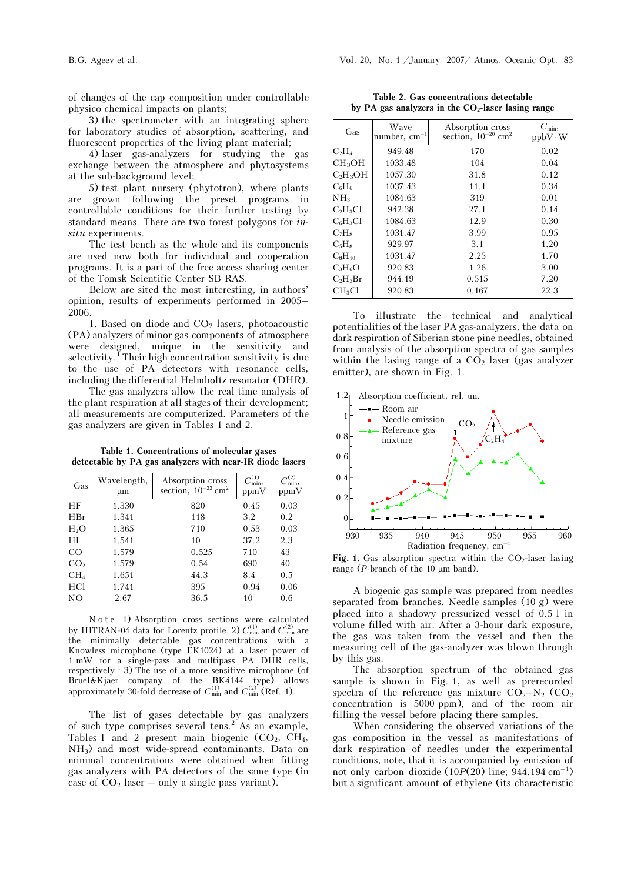of changes of the cap composition under controllable physico-chemical impacts on plants;

3) the spectrometer with an integrating sphere for laboratory studies of absorption, scattering, and fluorescent properties of the living plant material;

4) laser gas-analyzers for studying the gas exchange between the atmosphere and phytosystems at the sub-background level;

5) test plant nursery (phytotron), where plants are grown following the preset programs in controllable conditions for their further testing by standard means. There are two forest polygons for insitu experiments.

The test bench as the whole and its components are used now both for individual and cooperation programs. It is a part of the free-access sharing center of the Tomsk Scientific Center SB RAS.

Below are sited the most interesting, in authors' opinion, results of experiments performed in 2005– 2006.

1. Based on diode and  $CO<sub>2</sub>$  lasers, photoacoustic (PA) analyzers of minor gas components of atmosphere were designed, unique in the sensitivity and selectivity.<sup> $\overline{1}$ </sup>Their high concentration sensitivity is due to the use of PA detectors with resonance cells, including the differential Helmholtz resonator (DHR).

 The gas analyzers allow the real-time analysis of the plant respiration at all stages of their development; all measurements are computerized. Parameters of the gas analyzers are given in Tables 1 and 2.

Table 1. Concentrations of molecular gases detectable by PA gas analyzers with near-IR diode lasers

| Gas             | Wavelength,<br>μm | Absorption cross<br>section, $10^{-22}$ cm <sup>2</sup> | $C_{\min}^{(1)}$<br>ppmV | $C_{\min}^{(2)}$<br>ppmV |
|-----------------|-------------------|---------------------------------------------------------|--------------------------|--------------------------|
| HF              | 1.330             | 820                                                     | 0.45                     | 0.03                     |
| HBr             | 1.341             | 118                                                     | 3.2                      | 0.2                      |
| $H_2O$          | 1.365             | 710                                                     | 0.53                     | 0.03                     |
| $_{\rm HI}$     | 1.541             | 10                                                      | 37.2                     | 2.3                      |
| CO              | 1.579             | 0.525                                                   | 710                      | 43                       |
| CO <sub>2</sub> | 1.579             | 0.54                                                    | 690                      | 40                       |
| CH <sub>4</sub> | 1.651             | 44.3                                                    | 8.4                      | 0.5                      |
| HC <sub>1</sub> | 1.741             | 395                                                     | 0.94                     | 0.06                     |
| NO              | 2.67              | 36.5                                                    | 10                       | 0.6                      |

N o t e . 1) Absorption cross sections were calculated by HITRAN-04 data for Lorentz profile. 2)  $C_{\min}^{(1)}$  and  $C_{\min}^{(2)}$  are the minimally detectable ass concentrations with the minimally detectable gas concentrations with a Knowless microphone (type EK1024) at a laser power of 1 mW for a single-pass and multipass PA DHR cells, respectively.<sup>1</sup> 3) The use of a more sensitive microphone (of Bruel&Kjaer company of the BK4144 type) allows approximately 30-fold decrease of  $C_{\min}^{(1)}$  and  $C_{\min}^{(2)}$  (Ref. 1).

The list of gases detectable by gas analyzers of such type comprises several tens.<sup>2</sup> As an example, Tables 1 and 2 present main biogenic  $(CO_2, CH_4,$ NH3) and most wide-spread contaminants. Data on minimal concentrations were obtained when fitting gas analyzers with PA detectors of the same type (in case of  $CO<sub>2</sub>$  laser – only a single-pass variant).

Table 2. Gas concentrations detectable by PA gas analyzers in the  $CO<sub>2</sub>$ -laser lasing range

| Gas                | Wave<br>number, $cm^{-1}$ | Absorption cross<br>section. $10^{-20}$ cm <sup>2</sup> | $C_{\min}$<br>$ppbV \cdot W$ |
|--------------------|---------------------------|---------------------------------------------------------|------------------------------|
| $C_2H_4$           | 949.48                    | 170                                                     | 0.02                         |
| CH <sub>3</sub> OH | 1033.48                   | 104                                                     | 0.04                         |
| $C_2H_3OH$         | 1057.30                   | 31.8                                                    | 0.12                         |
| $C_6H_6$           | 1037.43                   | 11.1                                                    | 0.34                         |
| NH <sub>3</sub>    | 1084.63                   | 319                                                     | 0.01                         |
| $C_2H_3Cl$         | 942.38                    | 27.1                                                    | 0.14                         |
| $C_6H_3Cl$         | 1084.63                   | 12.9                                                    | 0.30                         |
| $C_7H_8$           | 1031.47                   | 3.99                                                    | 0.95                         |
| $C_5H_8$           | 929.97                    | 3.1                                                     | 1.20                         |
| $C_8H_{10}$        | 1031.47                   | 2.25                                                    | 1.70                         |
| $C_3H_6O$          | 920.83                    | 1.26                                                    | 3.00                         |
| $C_2H_5Br$         | 944.19                    | 0.515                                                   | 7.20                         |
| CH <sub>3</sub> Cl | 920.83                    | 0.167                                                   | 22.3                         |

To illustrate the technical and analytical potentialities of the laser PA gas-analyzers, the data on dark respiration of Siberian stone pine needles, obtained from analysis of the absorption spectra of gas samples within the lasing range of a  $CO<sub>2</sub>$  laser (gas analyzer emitter), are shown in Fig. 1.



Fig. 1. Gas absorption spectra within the  $CO<sub>2</sub>$ -laser lasing range ( $P$ -branch of the 10  $\mu$ m band).

A biogenic gas sample was prepared from needles separated from branches. Needle samples (10 g) were placed into a shadowy pressurized vessel of 0.5 l in volume filled with air. After a 3-hour dark exposure, the gas was taken from the vessel and then the measuring cell of the gas-analyzer was blown through by this gas.

The absorption spectrum of the obtained gas sample is shown in Fig. 1, as well as prerecorded spectra of the reference gas mixture  $CO<sub>2</sub>–N<sub>2</sub> (CO<sub>2</sub>)$ concentration is 5000 ppm), and of the room air filling the vessel before placing there samples.

When considering the observed variations of the gas composition in the vessel as manifestations of dark respiration of needles under the experimental conditions, note, that it is accompanied by emission of not only carbon dioxide  $(10P(20)$  line; 944.194 cm<sup>-1</sup>) but a significant amount of ethylene (its characteristic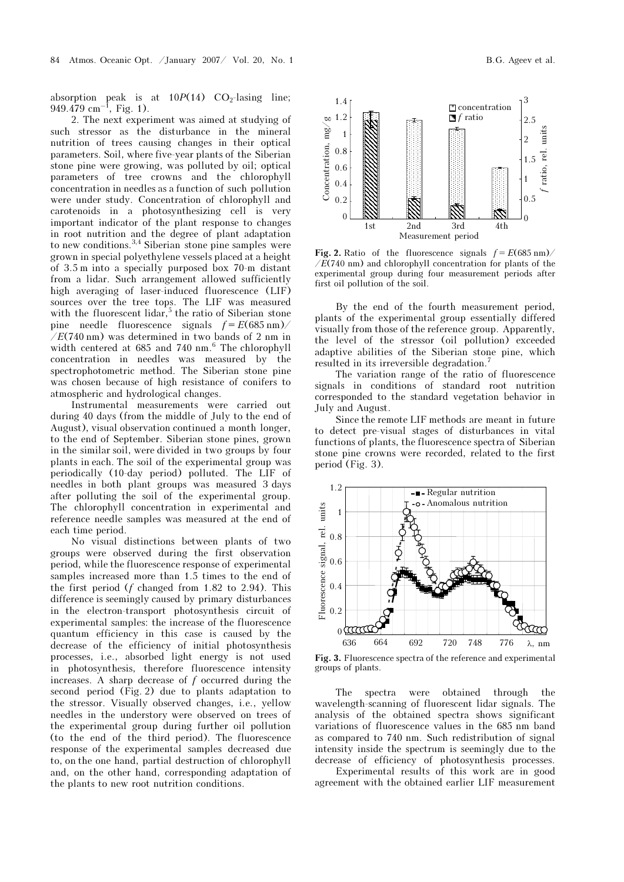absorption peak is at  $10P(14)$  CO<sub>2</sub>-lasing line;  $949.479$  cm<sup>-1</sup>, Fig. 1).

2. The next experiment was aimed at studying of such stressor as the disturbance in the mineral nutrition of trees causing changes in their optical parameters. Soil, where five-year plants of the Siberian stone pine were growing, was polluted by oil; optical parameters of tree crowns and the chlorophyll concentration in needles as a function of such pollution were under study. Concentration of chlorophyll and carotenoids in a photosynthesizing cell is very important indicator of the plant response to changes in root nutrition and the degree of plant adaptation to new conditions.<sup>3,4</sup> Siberian stone pine samples were grown in special polyethylene vessels placed at a height of 3.5 m into a specially purposed box 70-m distant from a lidar. Such arrangement allowed sufficiently high averaging of laser-induced fluorescence (LIF) sources over the tree tops. The LIF was measured with the fluorescent lidar,<sup>5</sup> the ratio of Siberian stone pine needle fluorescence signals  $f = E(685 \text{ nm})/$  $/E(740 \text{ nm})$  was determined in two bands of 2 nm in width centered at 685 and 740 nm.<sup>6</sup> The chlorophyll concentration in needles was measured by the spectrophotometric method. The Siberian stone pine was chosen because of high resistance of conifers to atmospheric and hydrological changes.

Instrumental measurements were carried out during 40 days (from the middle of July to the end of August), visual observation continued a month longer, to the end of September. Siberian stone pines, grown in the similar soil, were divided in two groups by four plants in each. The soil of the experimental group was periodically (10-day period) polluted. The LIF of needles in both plant groups was measured 3 days after polluting the soil of the experimental group. The chlorophyll concentration in experimental and reference needle samples was measured at the end of each time period.

No visual distinctions between plants of two groups were observed during the first observation period, while the fluorescence response of experimental samples increased more than 1.5 times to the end of the first period  $(f \text{ changed from } 1.82 \text{ to } 2.94)$ . This difference is seemingly caused by primary disturbances in the electron-transport photosynthesis circuit of experimental samples: the increase of the fluorescence quantum efficiency in this case is caused by the decrease of the efficiency of initial photosynthesis processes, i.e., absorbed light energy is not used in photosynthesis, therefore fluorescence intensity increases. A sharp decrease of  $f$  occurred during the second period (Fig. 2) due to plants adaptation to the stressor. Visually observed changes, i.e., yellow needles in the understory were observed on trees of the experimental group during further oil pollution (to the end of the third period). The fluorescence response of the experimental samples decreased due to, on the one hand, partial destruction of chlorophyll and, on the other hand, corresponding adaptation of the plants to new root nutrition conditions.



Fig. 2. Ratio of the fluorescence signals  $f = E(685 \text{ nm})/$  $/E(740 \text{ nm})$  and chlorophyll concentration for plants of the experimental group during four measurement periods after first oil pollution of the soil.

By the end of the fourth measurement period, plants of the experimental group essentially differed visually from those of the reference group. Apparently, the level of the stressor (oil pollution) exceeded adaptive abilities of the Siberian stone pine, which resulted in its irreversible degradation.<sup>7</sup>

The variation range of the ratio of fluorescence signals in conditions of standard root nutrition corresponded to the standard vegetation behavior in July and August.

Since the remote LIF methods are meant in future to detect pre-visual stages of disturbances in vital functions of plants, the fluorescence spectra of Siberian stone pine crowns were recorded, related to the first period (Fig. 3).



groups of plants.

The spectra were obtained through the wavelength-scanning of fluorescent lidar signals. The analysis of the obtained spectra shows significant variations of fluorescence values in the 685 nm band as compared to 740 nm. Such redistribution of signal intensity inside the spectrum is seemingly due to the decrease of efficiency of photosynthesis processes.

 Experimental results of this work are in good agreement with the obtained earlier LIF measurement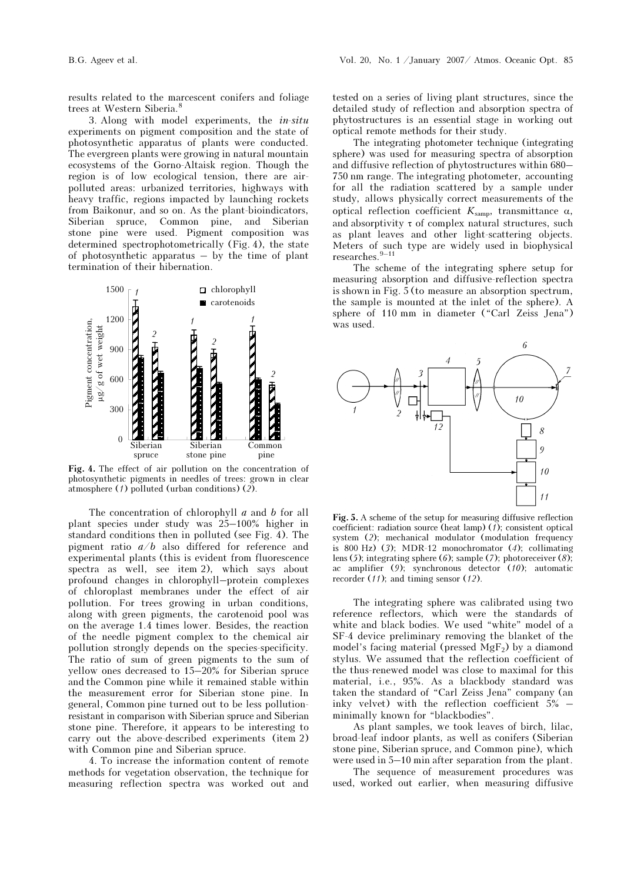results related to the marcescent conifers and foliage trees at Western Siberia.<sup>8</sup>

3. Along with model experiments, the in-situ experiments on pigment composition and the state of photosynthetic apparatus of plants were conducted. The evergreen plants were growing in natural mountain ecosystems of the Gorno-Altaisk region. Though the region is of low ecological tension, there are airpolluted areas: urbanized territories, highways with heavy traffic, regions impacted by launching rockets from Baikonur, and so on. As the plant-bioindicators, Siberian spruce, Common pine, and Siberian stone pine were used. Pigment composition was determined spectrophotometrically (Fig. 4), the state of photosynthetic apparatus – by the time of plant termination of their hibernation.



Fig. 4. The effect of air pollution on the concentration of photosynthetic pigments in needles of trees: grown in clear atmosphere (1) polluted (urban conditions) (2).

The concentration of chlorophyll  $a$  and  $b$  for all plant species under study was 25–100% higher in standard conditions then in polluted (see Fig. 4). The pigment ratio  $a/b$  also differed for reference and experimental plants (this is evident from fluorescence spectra as well, see item 2), which says about profound changes in chlorophyll–protein complexes of chloroplast membranes under the effect of air pollution. For trees growing in urban conditions, along with green pigments, the carotenoid pool was on the average 1.4 times lower. Besides, the reaction of the needle pigment complex to the chemical air pollution strongly depends on the species-specificity. The ratio of sum of green pigments to the sum of yellow ones decreased to 15–20% for Siberian spruce and the Common pine while it remained stable within the measurement error for Siberian stone pine. In general, Common pine turned out to be less pollutionresistant in comparison with Siberian spruce and Siberian stone pine. Therefore, it appears to be interesting to carry out the above-described experiments (item 2) with Common pine and Siberian spruce.

4. To increase the information content of remote methods for vegetation observation, the technique for measuring reflection spectra was worked out and

tested on a series of living plant structures, since the detailed study of reflection and absorption spectra of phytostructures is an essential stage in working out optical remote methods for their study.

The integrating photometer technique (integrating sphere) was used for measuring spectra of absorption and diffusive reflection of phytostructures within 680– 750 nm range. The integrating photometer, accounting for all the radiation scattered by a sample under study, allows physically correct measurements of the optical reflection coefficient  $K_{\text{samp}}$ , transmittance α, and absorptivity  $\tau$  of complex natural structures, such as plant leaves and other light-scattering objects. Meters of such type are widely used in biophysical researches.<sup>9–11</sup>

The scheme of the integrating sphere setup for measuring absorption and diffusive-reflection spectra is shown in Fig. 5 (to measure an absorption spectrum, the sample is mounted at the inlet of the sphere). A sphere of 110 mm in diameter ("Carl Zeiss Jena") was used.



Fig. 5. A scheme of the setup for measuring diffusive reflection coefficient: radiation source (heat lamp) (1); consistent optical system (2); mechanical modulator (modulation frequency is 800 Hz)  $(3)$ ; MDR-12 monochromator  $(4)$ ; collimating lens (5); integrating sphere (6); sample (7); photoreceiver (8); ac amplifier (9); synchronous detector (10); automatic recorder (11); and timing sensor (12).

The integrating sphere was calibrated using two reference reflectors, which were the standards of white and black bodies. We used "white" model of a SF-4 device preliminary removing the blanket of the model's facing material (pressed  $\overline{M}gF_2$ ) by a diamond stylus. We assumed that the reflection coefficient of the thus-renewed model was close to maximal for this material, i.e., 95%. As a blackbody standard was taken the standard of "Carl Zeiss Jena" company (an inky velvet) with the reflection coefficient 5% – minimally known for "blackbodies".

As plant samples, we took leaves of birch, lilac, broad-leaf indoor plants, as well as conifers (Siberian stone pine, Siberian spruce, and Common pine), which were used in 5–10 min after separation from the plant.

 The sequence of measurement procedures was used, worked out earlier, when measuring diffusive